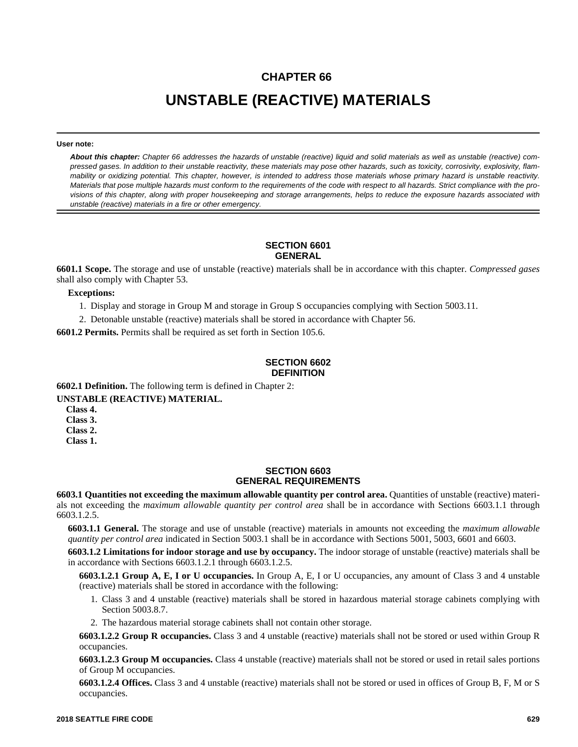# **CHAPTER 66 UNSTABLE (REACTIVE) MATERIALS**

#### **User note:**

*About this chapter: Chapter 66 addresses the hazards of unstable (reactive) liquid and solid materials as well as unstable (reactive) compressed gases. In addition to their unstable reactivity, these materials may pose other hazards, such as toxicity, corrosivity, explosivity, flammability or oxidizing potential. This chapter, however, is intended to address those materials whose primary hazard is unstable reactivity. Materials that pose multiple hazards must conform to the requirements of the code with respect to all hazards. Strict compliance with the provisions of this chapter, along with proper housekeeping and storage arrangements, helps to reduce the exposure hazards associated with unstable (reactive) materials in a fire or other emergency.*

#### **SECTION 6601 GENERAL**

**6601.1 Scope.** The storage and use of unstable (reactive) materials shall be in accordance with this chapter. *Compressed gases* shall also comply with Chapter 53.

**Exceptions:**

1. Display and storage in Group M and storage in Group S occupancies complying with Section 5003.11.

2. Detonable unstable (reactive) materials shall be stored in accordance with Chapter 56.

**6601.2 Permits.** Permits shall be required as set forth in Section 105.6.

### **SECTION 6602 DEFINITION**

**6602.1 Definition.** The following term is defined in Chapter 2:

**UNSTABLE (REACTIVE) MATERIAL.**

**Class 4.**

**Class 3.**

**Class 2.**

**Class 1.**

#### **SECTION 6603 GENERAL REQUIREMENTS**

**6603.1 Quantities not exceeding the maximum allowable quantity per control area.** Quantities of unstable (reactive) materials not exceeding the *maximum allowable quantity per control area* shall be in accordance with Sections 6603.1.1 through 6603.1.2.5.

**6603.1.1 General.** The storage and use of unstable (reactive) materials in amounts not exceeding the *maximum allowable quantity per control area* indicated in Section 5003.1 shall be in accordance with Sections 5001, 5003, 6601 and 6603.

**6603.1.2 Limitations for indoor storage and use by occupancy.** The indoor storage of unstable (reactive) materials shall be in accordance with Sections 6603.1.2.1 through 6603.1.2.5.

**6603.1.2.1 Group A, E, I or U occupancies.** In Group A, E, I or U occupancies, any amount of Class 3 and 4 unstable (reactive) materials shall be stored in accordance with the following:

- 1. Class 3 and 4 unstable (reactive) materials shall be stored in hazardous material storage cabinets complying with Section 5003.8.7.
- 2. The hazardous material storage cabinets shall not contain other storage.

**6603.1.2.2 Group R occupancies.** Class 3 and 4 unstable (reactive) materials shall not be stored or used within Group R occupancies.

**6603.1.2.3 Group M occupancies.** Class 4 unstable (reactive) materials shall not be stored or used in retail sales portions of Group M occupancies.

**6603.1.2.4 Offices.** Class 3 and 4 unstable (reactive) materials shall not be stored or used in offices of Group B, F, M or S occupancies.